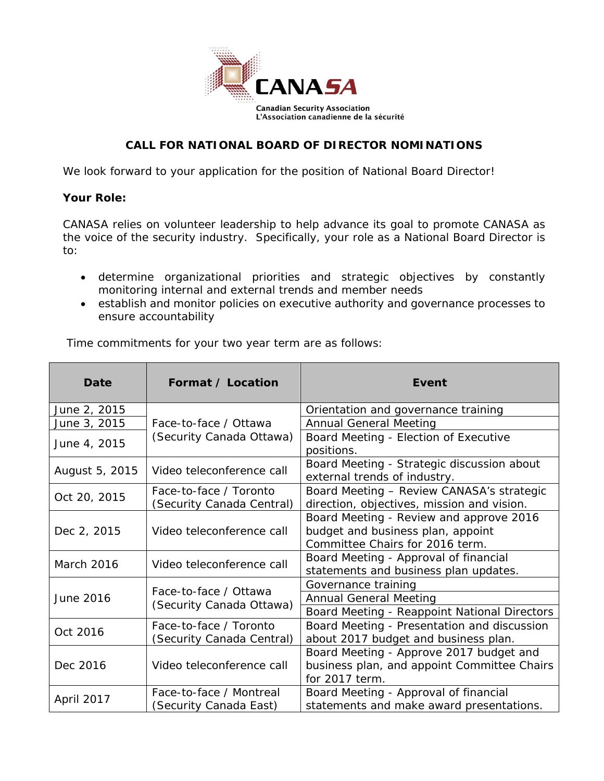

## **CALL FOR NATIONAL BOARD OF DIRECTOR NOMINATIONS**

We look forward to your application for the position of National Board Director!

### **Your Role:**

CANASA relies on volunteer leadership to help advance its goal to promote CANASA as the voice of the security industry. Specifically, your role as a National Board Director is to:

- determine organizational priorities and strategic objectives by constantly monitoring internal and external trends and member needs
- establish and monitor policies on executive authority and governance processes to ensure accountability

Time commitments for your two year term are as follows:

| Date                                                                                                                                                 | Format / Location                                                                                                                          | Event                                                                                                           |  |  |  |
|------------------------------------------------------------------------------------------------------------------------------------------------------|--------------------------------------------------------------------------------------------------------------------------------------------|-----------------------------------------------------------------------------------------------------------------|--|--|--|
| June 2, 2015                                                                                                                                         |                                                                                                                                            | Orientation and governance training                                                                             |  |  |  |
| June 3, 2015                                                                                                                                         | Face-to-face / Ottawa                                                                                                                      | <b>Annual General Meeting</b>                                                                                   |  |  |  |
| June 4, 2015                                                                                                                                         | (Security Canada Ottawa)                                                                                                                   | Board Meeting - Election of Executive<br>positions.                                                             |  |  |  |
| August 5, 2015                                                                                                                                       | Video teleconference call                                                                                                                  | Board Meeting - Strategic discussion about<br>external trends of industry.                                      |  |  |  |
| Oct 20, 2015                                                                                                                                         | Face-to-face / Toronto<br>(Security Canada Central)                                                                                        | Board Meeting - Review CANASA's strategic<br>direction, objectives, mission and vision.                         |  |  |  |
| Dec 2, 2015                                                                                                                                          | Video teleconference call                                                                                                                  | Board Meeting - Review and approve 2016<br>budget and business plan, appoint<br>Committee Chairs for 2016 term. |  |  |  |
| March 2016                                                                                                                                           | Video teleconference call                                                                                                                  | Board Meeting - Approval of financial<br>statements and business plan updates.                                  |  |  |  |
|                                                                                                                                                      |                                                                                                                                            | Governance training                                                                                             |  |  |  |
| June 2016                                                                                                                                            | Face-to-face / Ottawa<br>(Security Canada Ottawa)                                                                                          | <b>Annual General Meeting</b>                                                                                   |  |  |  |
|                                                                                                                                                      |                                                                                                                                            | Board Meeting - Reappoint National Directors                                                                    |  |  |  |
| Oct 2016                                                                                                                                             | Board Meeting - Presentation and discussion<br>Face-to-face / Toronto<br>about 2017 budget and business plan.<br>(Security Canada Central) |                                                                                                                 |  |  |  |
| Dec 2016                                                                                                                                             | Board Meeting - Approve 2017 budget and<br>business plan, and appoint Committee Chairs<br>Video teleconference call<br>for 2017 term.      |                                                                                                                 |  |  |  |
| Face-to-face / Montreal<br>Board Meeting - Approval of financial<br>April 2017<br>statements and make award presentations.<br>(Security Canada East) |                                                                                                                                            |                                                                                                                 |  |  |  |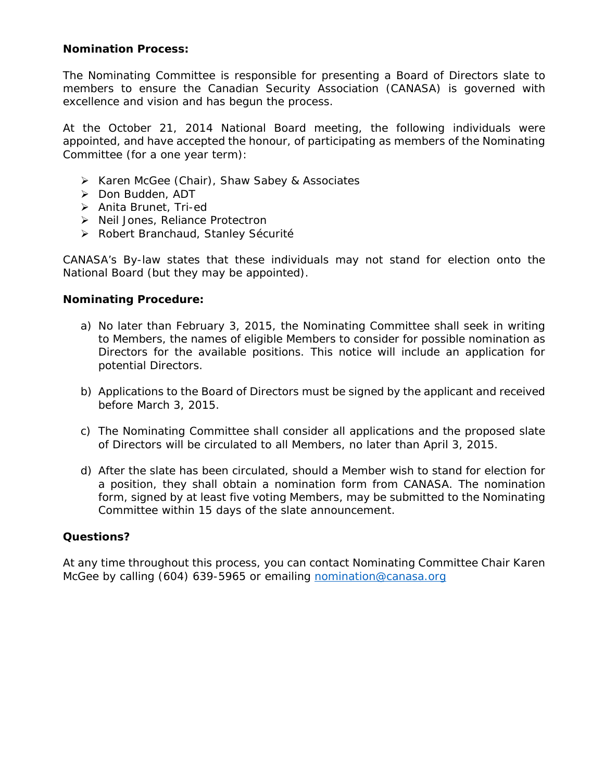#### **Nomination Process:**

The Nominating Committee is responsible for presenting a Board of Directors slate to members to ensure the Canadian Security Association (CANASA) is governed with excellence and vision and has begun the process.

At the October 21, 2014 National Board meeting, the following individuals were appointed, and have accepted the honour, of participating as members of the Nominating Committee (for a one year term):

- ▶ Karen McGee (Chair), Shaw Sabey & Associates
- > Don Budden, ADT
- > Anita Brunet, Tri-ed
- > Neil Jones, Reliance Protectron
- ▶ Robert Branchaud, Stanley Sécurité

CANASA's By-law states that these individuals may not stand for election onto the National Board (but they may be appointed).

### **Nominating Procedure:**

- a) No later than February 3, 2015, the Nominating Committee shall seek in writing to Members, the names of eligible Members to consider for possible nomination as Directors for the available positions. This notice will include an application for potential Directors.
- b) Applications to the Board of Directors must be signed by the applicant and received before March 3, 2015.
- c) The Nominating Committee shall consider all applications and the proposed slate of Directors will be circulated to all Members, no later than April 3, 2015.
- d) After the slate has been circulated, should a Member wish to stand for election for a position, they shall obtain a nomination form from CANASA. The nomination form, signed by at least five voting Members, may be submitted to the Nominating Committee within 15 days of the slate announcement.

#### **Questions?**

At any time throughout this process, you can contact Nominating Committee Chair Karen McGee by calling (604) 639-5965 or emailing nomination@canasa.org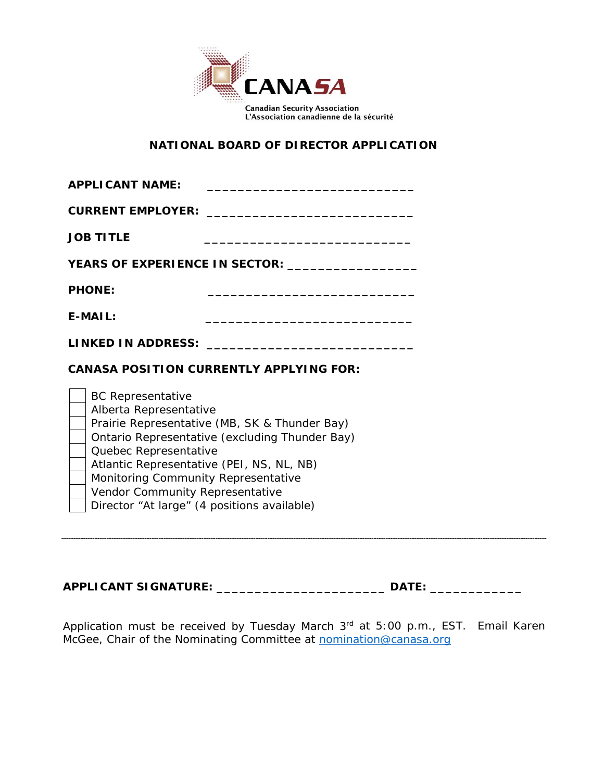

## **NATIONAL BOARD OF DIRECTOR APPLICATION**

| <b>APPLICANT NAME:</b>                                                                                                                                                                                                                                                                                                                               |  |  |
|------------------------------------------------------------------------------------------------------------------------------------------------------------------------------------------------------------------------------------------------------------------------------------------------------------------------------------------------------|--|--|
|                                                                                                                                                                                                                                                                                                                                                      |  |  |
| <b>JOB TITLE</b>                                                                                                                                                                                                                                                                                                                                     |  |  |
| <b>YEARS OF EXPERIENCE IN SECTOR:</b>                                                                                                                                                                                                                                                                                                                |  |  |
| <b>PHONE:</b><br><u> 1980 - Johann Barbara, margaret eta idazlea (h. 1980).</u>                                                                                                                                                                                                                                                                      |  |  |
| $E-MAIL:$                                                                                                                                                                                                                                                                                                                                            |  |  |
| LINKED IN ADDRESS: ________________________________                                                                                                                                                                                                                                                                                                  |  |  |
| <b>CANASA POSITION CURRENTLY APPLYING FOR:</b>                                                                                                                                                                                                                                                                                                       |  |  |
| <b>BC Representative</b><br>Alberta Representative<br>Prairie Representative (MB, SK & Thunder Bay)<br>Ontario Representative (excluding Thunder Bay)<br>Quebec Representative<br>Atlantic Representative (PEI, NS, NL, NB)<br>Monitoring Community Representative<br>Vendor Community Representative<br>Director "At large" (4 positions available) |  |  |

| <b>APPLICANT SIGNATURE:</b> |  |
|-----------------------------|--|
|-----------------------------|--|

Application must be received by Tuesday March 3rd at 5:00 p.m., EST. Email *Karen McGee, Chair of the Nominating Committee at* nomination@canasa.org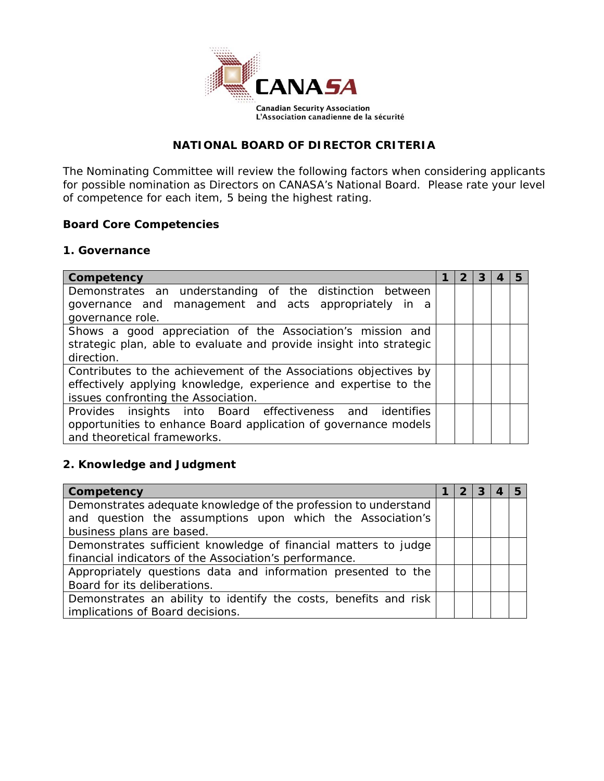

### **NATIONAL BOARD OF DIRECTOR CRITERIA**

The Nominating Committee will review the following factors when considering applicants for possible nomination as Directors on CANASA's National Board. Please rate your level of competence for each item, 5 being the highest rating.

#### **Board Core Competencies**

#### **1. Governance**

| Competency                                                          |  |  |  |
|---------------------------------------------------------------------|--|--|--|
| Demonstrates an understanding of the distinction between            |  |  |  |
| governance and management and acts appropriately in a               |  |  |  |
| governance role.                                                    |  |  |  |
| Shows a good appreciation of the Association's mission and          |  |  |  |
| strategic plan, able to evaluate and provide insight into strategic |  |  |  |
| direction.                                                          |  |  |  |
| Contributes to the achievement of the Associations objectives by    |  |  |  |
| effectively applying knowledge, experience and expertise to the     |  |  |  |
| issues confronting the Association.                                 |  |  |  |
| Provides insights into Board effectiveness and identifies           |  |  |  |
| opportunities to enhance Board application of governance models     |  |  |  |
| and theoretical frameworks.                                         |  |  |  |

## **2. Knowledge and Judgment**

| Competency                                                                                                                                                |  | 2 | З |  |
|-----------------------------------------------------------------------------------------------------------------------------------------------------------|--|---|---|--|
| Demonstrates adequate knowledge of the profession to understand<br>and question the assumptions upon which the Association's<br>business plans are based. |  |   |   |  |
| Demonstrates sufficient knowledge of financial matters to judge<br>financial indicators of the Association's performance.                                 |  |   |   |  |
| Appropriately questions data and information presented to the<br>Board for its deliberations.                                                             |  |   |   |  |
| Demonstrates an ability to identify the costs, benefits and risk<br>implications of Board decisions.                                                      |  |   |   |  |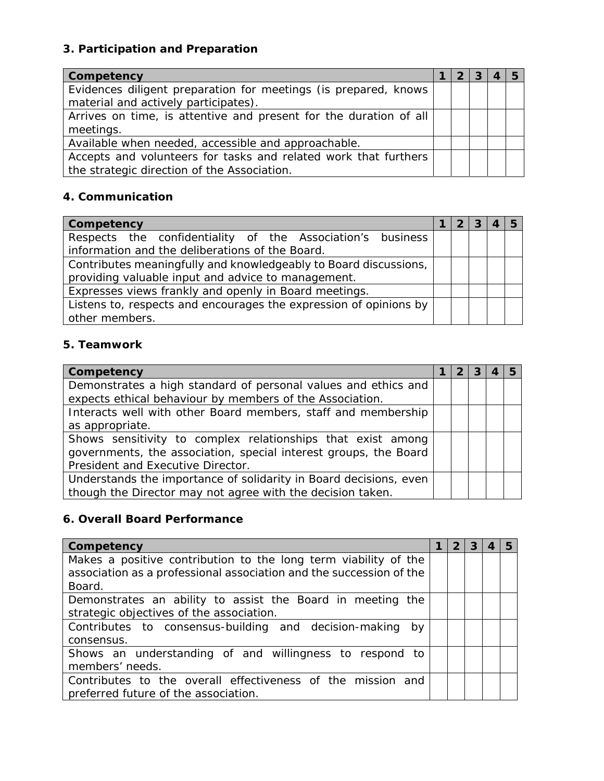## **3. Participation and Preparation**

| Competency                                                        |  |  |  |
|-------------------------------------------------------------------|--|--|--|
| Evidences diligent preparation for meetings (is prepared, knows   |  |  |  |
| material and actively participates).                              |  |  |  |
| Arrives on time, is attentive and present for the duration of all |  |  |  |
| meetings.                                                         |  |  |  |
| Available when needed, accessible and approachable.               |  |  |  |
| Accepts and volunteers for tasks and related work that furthers   |  |  |  |
| the strategic direction of the Association.                       |  |  |  |

# **4. Communication**

| Competency                                                        |  | -3 |  |
|-------------------------------------------------------------------|--|----|--|
| Respects the confidentiality of the Association's business        |  |    |  |
| information and the deliberations of the Board.                   |  |    |  |
| Contributes meaningfully and knowledgeably to Board discussions,  |  |    |  |
| providing valuable input and advice to management.                |  |    |  |
| Expresses views frankly and openly in Board meetings.             |  |    |  |
| Listens to, respects and encourages the expression of opinions by |  |    |  |
| other members.                                                    |  |    |  |

## **5. Teamwork**

| Competency                                                        |  |  |  |
|-------------------------------------------------------------------|--|--|--|
| Demonstrates a high standard of personal values and ethics and    |  |  |  |
| expects ethical behaviour by members of the Association.          |  |  |  |
| Interacts well with other Board members, staff and membership     |  |  |  |
| as appropriate.                                                   |  |  |  |
| Shows sensitivity to complex relationships that exist among       |  |  |  |
| governments, the association, special interest groups, the Board  |  |  |  |
| President and Executive Director.                                 |  |  |  |
| Understands the importance of solidarity in Board decisions, even |  |  |  |
| though the Director may not agree with the decision taken.        |  |  |  |

# **6. Overall Board Performance**

| Competency                                                          | $\mathbf{2}$ | 3 | 5 |
|---------------------------------------------------------------------|--------------|---|---|
| Makes a positive contribution to the long term viability of the     |              |   |   |
| association as a professional association and the succession of the |              |   |   |
| Board.                                                              |              |   |   |
| Demonstrates an ability to assist the Board in meeting the          |              |   |   |
| strategic objectives of the association.                            |              |   |   |
| Contributes to consensus-building and decision-making by            |              |   |   |
| consensus.                                                          |              |   |   |
| Shows an understanding of and willingness to respond to             |              |   |   |
| members' needs.                                                     |              |   |   |
| Contributes to the overall effectiveness of the mission and         |              |   |   |
| preferred future of the association.                                |              |   |   |